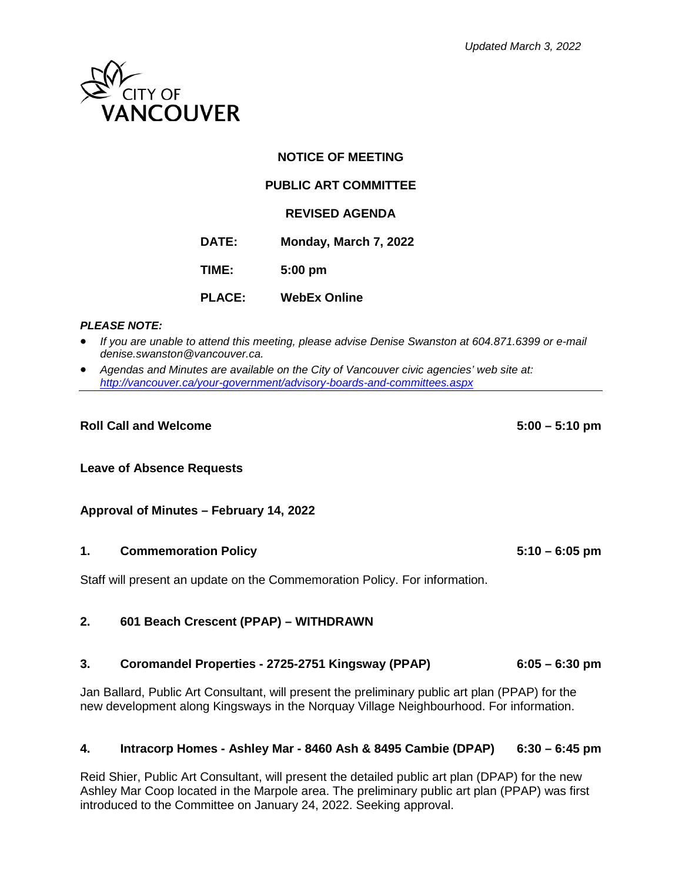

### **NOTICE OF MEETING**

# **PUBLIC ART COMMITTEE**

#### **REVISED AGENDA**

**DATE: Monday, March 7, 2022**

**TIME: 5:00 pm**

**PLACE: WebEx Online**

#### *PLEASE NOTE:*

• *If you are unable to attend this meeting, please advise Denise Swanston at 604.871.6399 or e-mail denise.swanston@vancouver.ca.*

• *Agendas and Minutes are available on the City of Vancouver civic agencies' web site at: <http://vancouver.ca/your-government/advisory-boards-and-committees.aspx>*

#### **Roll Call and Welcome 5:00 – 5:10 pm**

#### **Leave of Absence Requests**

#### **Approval of Minutes – February 14, 2022**

#### **1. Commemoration Policy 5:10 – 6:05 pm**

Staff will present an update on the Commemoration Policy. For information.

### **2. 601 Beach Crescent (PPAP) – WITHDRAWN**

#### **3. Coromandel Properties - 2725-2751 Kingsway (PPAP) 6:05 – 6:30 pm**

Jan Ballard, Public Art Consultant, will present the preliminary public art plan (PPAP) for the new development along Kingsways in the Norquay Village Neighbourhood. For information.

### **4. Intracorp Homes - Ashley Mar - 8460 Ash & 8495 Cambie (DPAP) 6:30 – 6:45 pm**

Reid Shier, Public Art Consultant, will present the detailed public art plan (DPAP) for the new Ashley Mar Coop located in the Marpole area. The preliminary public art plan (PPAP) was first introduced to the Committee on January 24, 2022. Seeking approval.